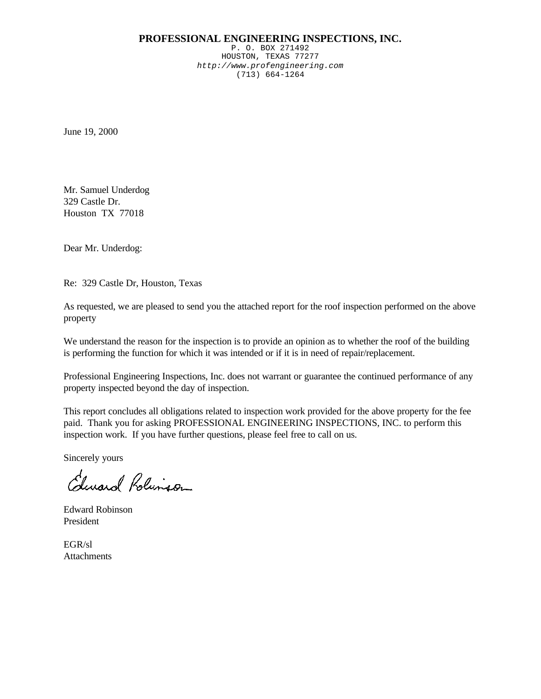#### **PROFESSIONAL ENGINEERING INSPECTIONS, INC.**

P. O. BOX 271492 HOUSTON, TEXAS 77277 *http://www.profengineering.com* (713) 664-1264

June 19, 2000

Mr. Samuel Underdog 329 Castle Dr. Houston TX 77018

Dear Mr. Underdog:

Re: 329 Castle Dr, Houston, Texas

As requested, we are pleased to send you the attached report for the roof inspection performed on the above property

We understand the reason for the inspection is to provide an opinion as to whether the roof of the building is performing the function for which it was intended or if it is in need of repair/replacement.

Professional Engineering Inspections, Inc. does not warrant or guarantee the continued performance of any property inspected beyond the day of inspection.

This report concludes all obligations related to inspection work provided for the above property for the fee paid. Thank you for asking PROFESSIONAL ENGINEERING INSPECTIONS, INC. to perform this inspection work. If you have further questions, please feel free to call on us.

Sincerely yours

Edward Rolington

Edward Robinson President

EGR/sl Attachments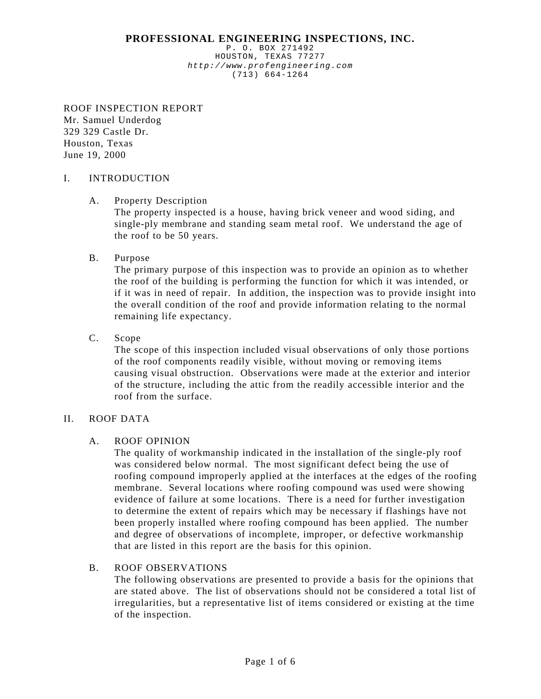## **PROFESSIONAL ENGINEERING INSPECTIONS, INC.**

P. O. BOX 271492 HOUSTON, TEXAS 77277 *http://www.profengineering.com* (713) 664-1264

ROOF INSPECTION REPORT Mr. Samuel Underdog 329 329 Castle Dr. Houston, Texas June 19, 2000

#### I. INTRODUCTION

### A. Property Description

The property inspected is a house, having brick veneer and wood siding, and single-ply membrane and standing seam metal roof. We understand the age of the roof to be 50 years.

### B. Purpose

The primary purpose of this inspection was to provide an opinion as to whether the roof of the building is performing the function for which it was intended, or if it was in need of repair. In addition, the inspection was to provide insight into the overall condition of the roof and provide information relating to the normal remaining life expectancy.

C. Scope

The scope of this inspection included visual observations of only those portions of the roof components readily visible, without moving or removing items causing visual obstruction. Observations were made at the exterior and interior of the structure, including the attic from the readily accessible interior and the roof from the surface.

## II. ROOF DATA

### A. ROOF OPINION

The quality of workmanship indicated in the installation of the single-ply roof was considered below normal. The most significant defect being the use of roofing compound improperly applied at the interfaces at the edges of the roofing membrane. Several locations where roofing compound was used were showing evidence of failure at some locations. There is a need for further investigation to determine the extent of repairs which may be necessary if flashings have not been properly installed where roofing compound has been applied. The number and degree of observations of incomplete, improper, or defective workmanship that are listed in this report are the basis for this opinion.

# B. ROOF OBSERVATIONS

The following observations are presented to provide a basis for the opinions that are stated above. The list of observations should not be considered a total list of irregularities, but a representative list of items considered or existing at the time of the inspection.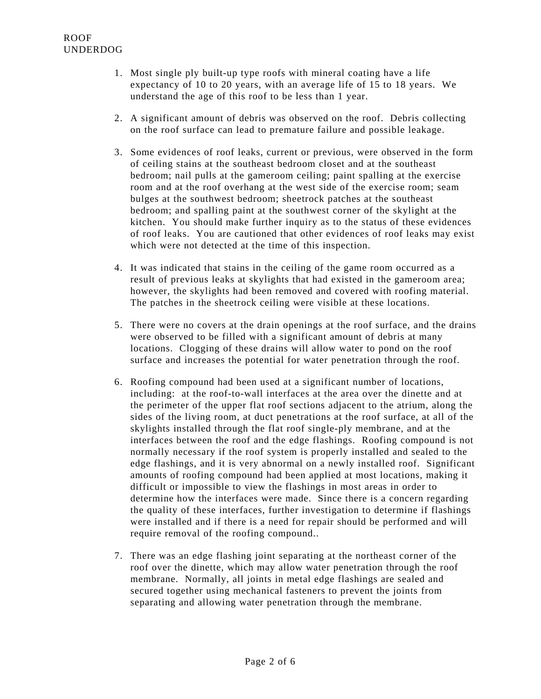- 1. Most single ply built-up type roofs with mineral coating have a life expectancy of 10 to 20 years, with an average life of 15 to 18 years. We understand the age of this roof to be less than 1 year.
- 2. A significant amount of debris was observed on the roof. Debris collecting on the roof surface can lead to premature failure and possible leakage.
- 3. Some evidences of roof leaks, current or previous, were observed in the form of ceiling stains at the southeast bedroom closet and at the southeast bedroom; nail pulls at the gameroom ceiling; paint spalling at the exercise room and at the roof overhang at the west side of the exercise room; seam bulges at the southwest bedroom; sheetrock patches at the southeast bedroom; and spalling paint at the southwest corner of the skylight at the kitchen. You should make further inquiry as to the status of these evidences of roof leaks. You are cautioned that other evidences of roof leaks may exist which were not detected at the time of this inspection.
- 4. It was indicated that stains in the ceiling of the game room occurred as a result of previous leaks at skylights that had existed in the gameroom area; however, the skylights had been removed and covered with roofing material. The patches in the sheetrock ceiling were visible at these locations.
- 5. There were no covers at the drain openings at the roof surface, and the drains were observed to be filled with a significant amount of debris at many locations. Clogging of these drains will allow water to pond on the roof surface and increases the potential for water penetration through the roof.
- 6. Roofing compound had been used at a significant number of locations, including: at the roof-to-wall interfaces at the area over the dinette and at the perimeter of the upper flat roof sections adjacent to the atrium, along the sides of the living room, at duct penetrations at the roof surface, at all of the skylights installed through the flat roof single-ply membrane, and at the interfaces between the roof and the edge flashings. Roofing compound is not normally necessary if the roof system is properly installed and sealed to the edge flashings, and it is very abnormal on a newly installed roof. Significant amounts of roofing compound had been applied at most locations, making it difficult or impossible to view the flashings in most areas in order to determine how the interfaces were made. Since there is a concern regarding the quality of these interfaces, further investigation to determine if flashings were installed and if there is a need for repair should be performed and will require removal of the roofing compound..
- 7. There was an edge flashing joint separating at the northeast corner of the roof over the dinette, which may allow water penetration through the roof membrane. Normally, all joints in metal edge flashings are sealed and secured together using mechanical fasteners to prevent the joints from separating and allowing water penetration through the membrane.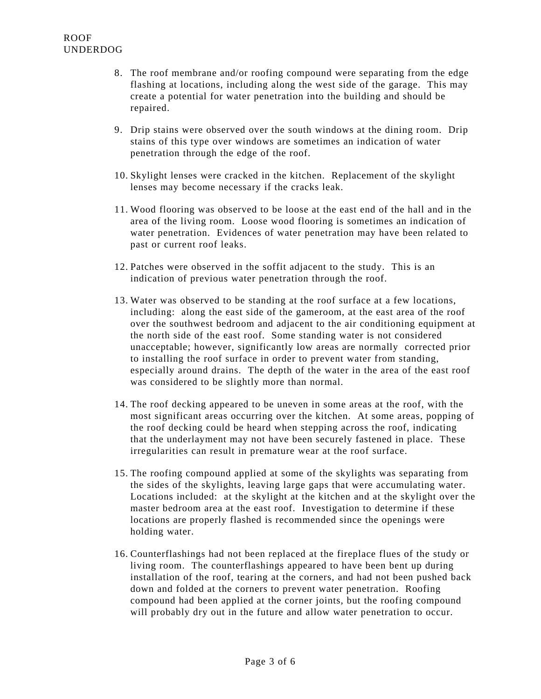- 8. The roof membrane and/or roofing compound were separating from the edge flashing at locations, including along the west side of the garage. This may create a potential for water penetration into the building and should be repaired.
- 9. Drip stains were observed over the south windows at the dining room. Drip stains of this type over windows are sometimes an indication of water penetration through the edge of the roof.
- 10. Skylight lenses were cracked in the kitchen. Replacement of the skylight lenses may become necessary if the cracks leak.
- 11. Wood flooring was observed to be loose at the east end of the hall and in the area of the living room. Loose wood flooring is sometimes an indication of water penetration. Evidences of water penetration may have been related to past or current roof leaks.
- 12. Patches were observed in the soffit adjacent to the study. This is an indication of previous water penetration through the roof.
- 13. Water was observed to be standing at the roof surface at a few locations, including: along the east side of the gameroom, at the east area of the roof over the southwest bedroom and adjacent to the air conditioning equipment at the north side of the east roof. Some standing water is not considered unacceptable; however, significantly low areas are normally corrected prior to installing the roof surface in order to prevent water from standing, especially around drains. The depth of the water in the area of the east roof was considered to be slightly more than normal.
- 14. The roof decking appeared to be uneven in some areas at the roof, with the most significant areas occurring over the kitchen. At some areas, popping of the roof decking could be heard when stepping across the roof, indicating that the underlayment may not have been securely fastened in place. These irregularities can result in premature wear at the roof surface.
- 15. The roofing compound applied at some of the skylights was separating from the sides of the skylights, leaving large gaps that were accumulating water. Locations included: at the skylight at the kitchen and at the skylight over the master bedroom area at the east roof. Investigation to determine if these locations are properly flashed is recommended since the openings were holding water.
- 16. Counterflashings had not been replaced at the fireplace flues of the study or living room. The counterflashings appeared to have been bent up during installation of the roof, tearing at the corners, and had not been pushed back down and folded at the corners to prevent water penetration. Roofing compound had been applied at the corner joints, but the roofing compound will probably dry out in the future and allow water penetration to occur.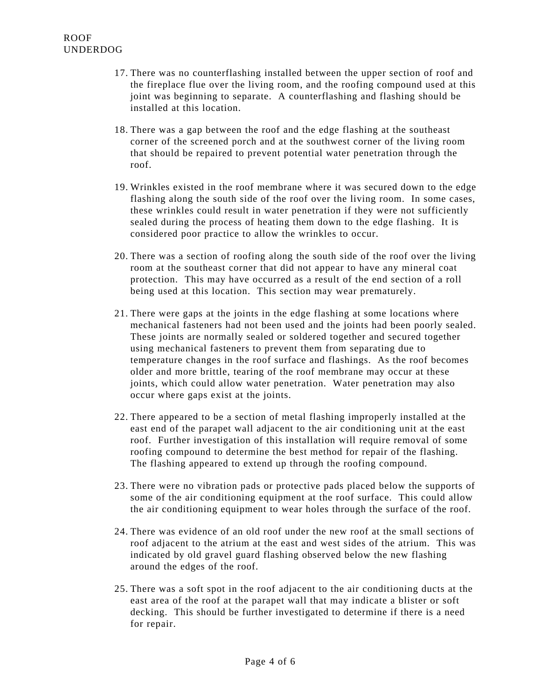- 17. There was no counterflashing installed between the upper section of roof and the fireplace flue over the living room, and the roofing compound used at this joint was beginning to separate. A counterflashing and flashing should be installed at this location.
- 18. There was a gap between the roof and the edge flashing at the southeast corner of the screened porch and at the southwest corner of the living room that should be repaired to prevent potential water penetration through the roof.
- 19. Wrinkles existed in the roof membrane where it was secured down to the edge flashing along the south side of the roof over the living room. In some cases, these wrinkles could result in water penetration if they were not sufficiently sealed during the process of heating them down to the edge flashing. It is considered poor practice to allow the wrinkles to occur.
- 20. There was a section of roofing along the south side of the roof over the living room at the southeast corner that did not appear to have any mineral coat protection. This may have occurred as a result of the end section of a roll being used at this location. This section may wear prematurely.
- 21. There were gaps at the joints in the edge flashing at some locations where mechanical fasteners had not been used and the joints had been poorly sealed. These joints are normally sealed or soldered together and secured together using mechanical fasteners to prevent them from separating due to temperature changes in the roof surface and flashings. As the roof becomes older and more brittle, tearing of the roof membrane may occur at these joints, which could allow water penetration. Water penetration may also occur where gaps exist at the joints.
- 22. There appeared to be a section of metal flashing improperly installed at the east end of the parapet wall adjacent to the air conditioning unit at the east roof. Further investigation of this installation will require removal of some roofing compound to determine the best method for repair of the flashing. The flashing appeared to extend up through the roofing compound.
- 23. There were no vibration pads or protective pads placed below the supports of some of the air conditioning equipment at the roof surface. This could allow the air conditioning equipment to wear holes through the surface of the roof.
- 24. There was evidence of an old roof under the new roof at the small sections of roof adjacent to the atrium at the east and west sides of the atrium. This was indicated by old gravel guard flashing observed below the new flashing around the edges of the roof.
- 25. There was a soft spot in the roof adjacent to the air conditioning ducts at the east area of the roof at the parapet wall that may indicate a blister or soft decking. This should be further investigated to determine if there is a need for repair.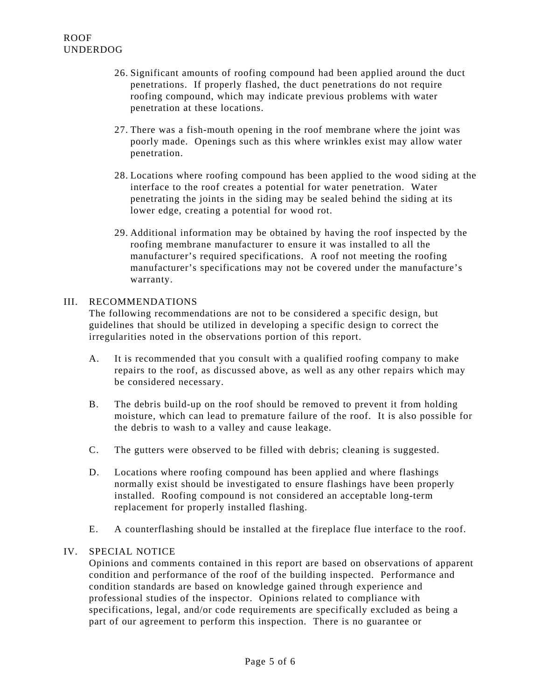- 26. Significant amounts of roofing compound had been applied around the duct penetrations. If properly flashed, the duct penetrations do not require roofing compound, which may indicate previous problems with water penetration at these locations.
- 27. There was a fish-mouth opening in the roof membrane where the joint was poorly made. Openings such as this where wrinkles exist may allow water penetration.
- 28. Locations where roofing compound has been applied to the wood siding at the interface to the roof creates a potential for water penetration. Water penetrating the joints in the siding may be sealed behind the siding at its lower edge, creating a potential for wood rot.
- 29. Additional information may be obtained by having the roof inspected by the roofing membrane manufacturer to ensure it was installed to all the manufacturer's required specifications. A roof not meeting the roofing manufacturer's specifications may not be covered under the manufacture's warranty.

### III. RECOMMENDATIONS

The following recommendations are not to be considered a specific design, but guidelines that should be utilized in developing a specific design to correct the irregularities noted in the observations portion of this report.

- A. It is recommended that you consult with a qualified roofing company to make repairs to the roof, as discussed above, as well as any other repairs which may be considered necessary.
- B. The debris build-up on the roof should be removed to prevent it from holding moisture, which can lead to premature failure of the roof. It is also possible for the debris to wash to a valley and cause leakage.
- C. The gutters were observed to be filled with debris; cleaning is suggested.
- D. Locations where roofing compound has been applied and where flashings normally exist should be investigated to ensure flashings have been properly installed. Roofing compound is not considered an acceptable long-term replacement for properly installed flashing.
- E. A counterflashing should be installed at the fireplace flue interface to the roof.

### IV. SPECIAL NOTICE

Opinions and comments contained in this report are based on observations of apparent condition and performance of the roof of the building inspected. Performance and condition standards are based on knowledge gained through experience and professional studies of the inspector. Opinions related to compliance with specifications, legal, and/or code requirements are specifically excluded as being a part of our agreement to perform this inspection. There is no guarantee or